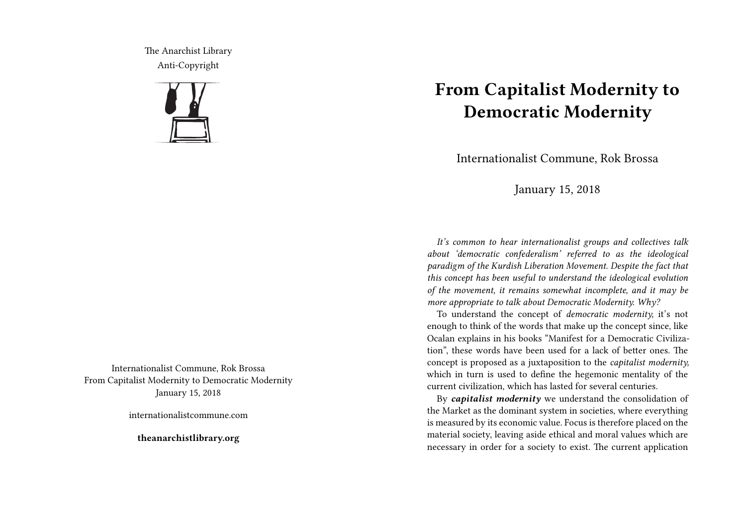The Anarchist Library Anti-Copyright



Internationalist Commune, Rok Brossa From Capitalist Modernity to Democratic Modernity January 15, 2018

internationalistcommune.com

**theanarchistlibrary.org**

## **From Capitalist Modernity to Democratic Modernity**

Internationalist Commune, Rok Brossa

January 15, 2018

*It's common to hear internationalist groups and collectives talk about 'democratic confederalism' referred to as the ideological paradigm of the Kurdish Liberation Movement. Despite the fact that this concept has been useful to understand the ideological evolution of the movement, it remains somewhat incomplete, and it may be more appropriate to talk about Democratic Modernity. Why?*

To understand the concept of *democratic modernity,* it's not enough to think of the words that make up the concept since, like Ocalan explains in his books "Manifest for a Democratic Civilization", these words have been used for a lack of better ones. The concept is proposed as a juxtaposition to the *capitalist modernity,* which in turn is used to define the hegemonic mentality of the current civilization, which has lasted for several centuries.

By *capitalist modernity* we understand the consolidation of the Market as the dominant system in societies, where everything is measured by its economic value. Focus is therefore placed on the material society, leaving aside ethical and moral values which are necessary in order for a society to exist. The current application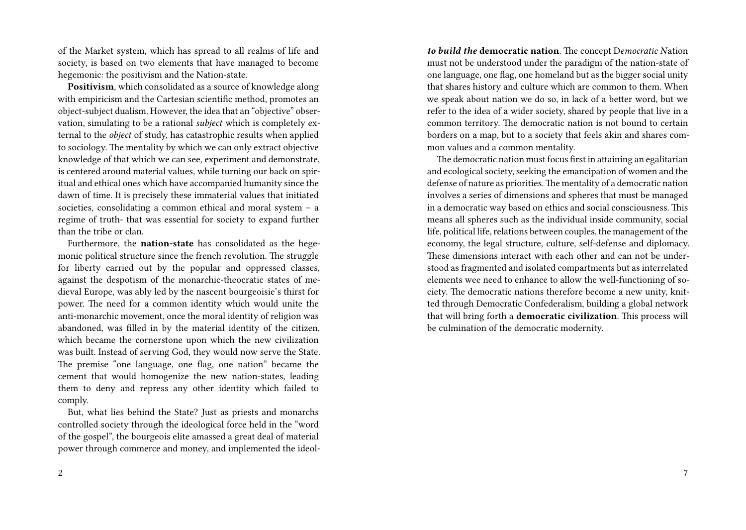of the Market system, which has spread to all realms of life and society, is based on two elements that have managed to become hegemonic: the positivism and the Nation-state.

**Positivism**, which consolidated as a source of knowledge along with empiricism and the Cartesian scientific method, promotes an object-subject dualism. However, the idea that an "objective" observation, simulating to be a rational *subject* which is completely external to the *object* of study, has catastrophic results when applied to sociology. The mentality by which we can only extract objective knowledge of that which we can see, experiment and demonstrate, is centered around material values, while turning our back on spiritual and ethical ones which have accompanied humanity since the dawn of time. It is precisely these immaterial values that initiated societies, consolidating a common ethical and moral system – a regime of truth- that was essential for society to expand further than the tribe or clan.

Furthermore, the **nation-state** has consolidated as the hegemonic political structure since the french revolution. The struggle for liberty carried out by the popular and oppressed classes, against the despotism of the monarchic-theocratic states of medieval Europe, was ably led by the nascent bourgeoisie's thirst for power. The need for a common identity which would unite the anti-monarchic movement, once the moral identity of religion was abandoned, was filled in by the material identity of the citizen, which became the cornerstone upon which the new civilization was built. Instead of serving God, they would now serve the State. The premise "one language, one flag, one nation" became the cement that would homogenize the new nation-states, leading them to deny and repress any other identity which failed to comply.

But, what lies behind the State? Just as priests and monarchs controlled society through the ideological force held in the "word of the gospel", the bourgeois elite amassed a great deal of material power through commerce and money, and implemented the ideol-

*to build the* **democratic nation**. The concept D*emocratic N*ation must not be understood under the paradigm of the nation-state of one language, one flag, one homeland but as the bigger social unity that shares history and culture which are common to them. When we speak about nation we do so, in lack of a better word, but we refer to the idea of a wider society, shared by people that live in a common territory. The democratic nation is not bound to certain borders on a map, but to a society that feels akin and shares common values and a common mentality.

The democratic nation must focus first in attaining an egalitarian and ecological society, seeking the emancipation of women and the defense of nature as priorities.The mentality of a democratic nation involves a series of dimensions and spheres that must be managed in a democratic way based on ethics and social consciousness. This means all spheres such as the individual inside community, social life, political life, relations between couples, the management of the economy, the legal structure, culture, self-defense and diplomacy. These dimensions interact with each other and can not be understood as fragmented and isolated compartments but as interrelated elements wee need to enhance to allow the well-functioning of society. The democratic nations therefore become a new unity, knitted through Democratic Confederalism, building a global network that will bring forth a **democratic civilization**. This process will be culmination of the democratic modernity.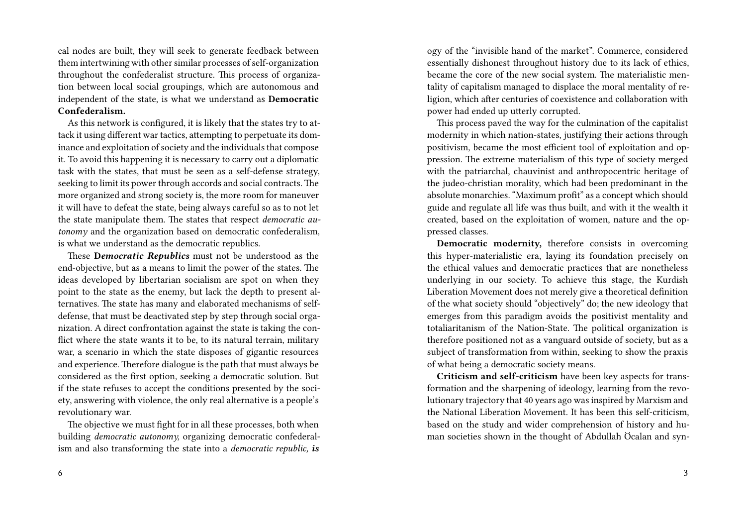cal nodes are built, they will seek to generate feedback between them intertwining with other similar processes of self-organization throughout the confederalist structure. This process of organization between local social groupings, which are autonomous and independent of the state, is what we understand as **Democratic Confederalism.**

As this network is configured, it is likely that the states try to attack it using different war tactics, attempting to perpetuate its dominance and exploitation of society and the individuals that compose it. To avoid this happening it is necessary to carry out a diplomatic task with the states, that must be seen as a self-defense strategy, seeking to limit its power through accords and social contracts. The more organized and strong society is, the more room for maneuver it will have to defeat the state, being always careful so as to not let the state manipulate them. The states that respect *democratic autonomy* and the organization based on democratic confederalism, is what we understand as the democratic republics.

These **D***emocratic Republics* must not be understood as the end-objective, but as a means to limit the power of the states. The ideas developed by libertarian socialism are spot on when they point to the state as the enemy, but lack the depth to present alternatives. The state has many and elaborated mechanisms of selfdefense, that must be deactivated step by step through social organization. A direct confrontation against the state is taking the conflict where the state wants it to be, to its natural terrain, military war, a scenario in which the state disposes of gigantic resources and experience. Therefore dialogue is the path that must always be considered as the first option, seeking a democratic solution. But if the state refuses to accept the conditions presented by the society, answering with violence, the only real alternative is a people's revolutionary war.

The objective we must fight for in all these processes, both when building *democratic autonomy,* organizing democratic confederalism and also transforming the state into a *democratic republic, is*

ogy of the "invisible hand of the market". Commerce, considered essentially dishonest throughout history due to its lack of ethics, became the core of the new social system. The materialistic mentality of capitalism managed to displace the moral mentality of religion, which after centuries of coexistence and collaboration with power had ended up utterly corrupted.

This process paved the way for the culmination of the capitalist modernity in which nation-states, justifying their actions through positivism, became the most efficient tool of exploitation and oppression. The extreme materialism of this type of society merged with the patriarchal, chauvinist and anthropocentric heritage of the judeo-christian morality, which had been predominant in the absolute monarchies. "Maximum profit" as a concept which should guide and regulate all life was thus built, and with it the wealth it created, based on the exploitation of women, nature and the oppressed classes.

**Democratic modernity,** therefore consists in overcoming this hyper-materialistic era, laying its foundation precisely on the ethical values and democratic practices that are nonetheless underlying in our society. To achieve this stage, the Kurdish Liberation Movement does not merely give a theoretical definition of the what society should "objectively" do; the new ideology that emerges from this paradigm avoids the positivist mentality and totaliaritanism of the Nation-State. The political organization is therefore positioned not as a vanguard outside of society, but as a subject of transformation from within, seeking to show the praxis of what being a democratic society means.

**Criticism and self-criticism** have been key aspects for transformation and the sharpening of ideology, learning from the revolutionary trajectory that 40 years ago was inspired by Marxism and the National Liberation Movement. It has been this self-criticism, based on the study and wider comprehension of history and human societies shown in the thought of Abdullah Öcalan and syn-